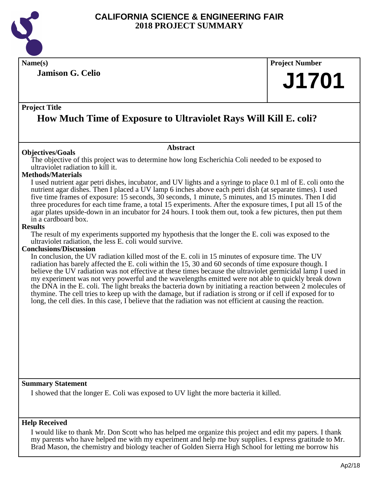

**Jamison G. Celio**

## **Name(s) Project Number J1701**

#### **Project Title**

## **How Much Time of Exposure to Ultraviolet Rays Will Kill E. coli?**

#### **Abstract**

**Objectives/Goals** The objective of this project was to determine how long Escherichia Coli needed to be exposed to ultraviolet radiation to kill it.

#### **Methods/Materials**

I used nutrient agar petri dishes, incubator, and UV lights and a syringe to place 0.1 ml of E. coli onto the nutrient agar dishes. Then I placed a UV lamp 6 inches above each petri dish (at separate times). I used five time frames of exposure: 15 seconds, 30 seconds, 1 minute, 5 minutes, and 15 minutes. Then I did three procedures for each time frame, a total 15 experiments. After the exposure times, I put all 15 of the agar plates upside-down in an incubator for 24 hours. I took them out, took a few pictures, then put them in a cardboard box.

#### **Results**

The result of my experiments supported my hypothesis that the longer the E. coli was exposed to the ultraviolet radiation, the less E. coli would survive.

#### **Conclusions/Discussion**

In conclusion, the UV radiation killed most of the E. coli in 15 minutes of exposure time. The UV radiation has barely affected the E. coli within the 15, 30 and 60 seconds of time exposure though. I believe the UV radiation was not effective at these times because the ultraviolet germicidal lamp I used in my experiment was not very powerful and the wavelengths emitted were not able to quickly break down the DNA in the E. coli. The light breaks the bacteria down by initiating a reaction between 2 molecules of thymine. The cell tries to keep up with the damage, but if radiation is strong or if cell if exposed for to long, the cell dies. In this case, I believe that the radiation was not efficient at causing the reaction.

#### **Summary Statement**

I showed that the longer E. Coli was exposed to UV light the more bacteria it killed.

#### **Help Received**

I would like to thank Mr. Don Scott who has helped me organize this project and edit my papers. I thank my parents who have helped me with my experiment and help me buy supplies. I express gratitude to Mr. Brad Mason, the chemistry and biology teacher of Golden Sierra High School for letting me borrow his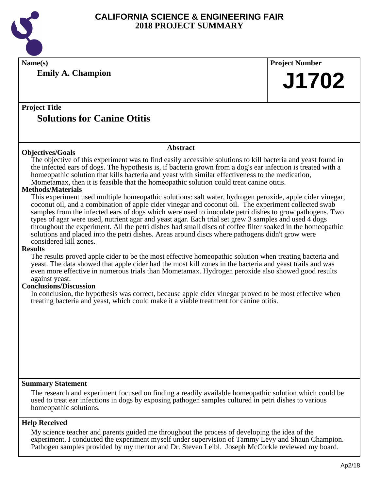

| Name(s)                                                                                                                                                                                                                      | <b>Project Number</b> |  |
|------------------------------------------------------------------------------------------------------------------------------------------------------------------------------------------------------------------------------|-----------------------|--|
| <b>Emily A. Champion</b>                                                                                                                                                                                                     |                       |  |
|                                                                                                                                                                                                                              | J1702                 |  |
|                                                                                                                                                                                                                              |                       |  |
| <b>Project Title</b>                                                                                                                                                                                                         |                       |  |
| <b>Solutions for Canine Otitis</b>                                                                                                                                                                                           |                       |  |
|                                                                                                                                                                                                                              |                       |  |
| <b>Abstract</b>                                                                                                                                                                                                              |                       |  |
| <b>Objectives/Goals</b>                                                                                                                                                                                                      |                       |  |
| The objective of this experiment was to find easily accessible solutions to kill bacteria and yeast found in<br>the infected ears of dogs. The hypothesis is, if bacteria grown from a dog's ear infection is treated with a |                       |  |
| homeopathic solution that kills bacteria and yeast with similar effectiveness to the medication,                                                                                                                             |                       |  |
| Mometamax, then it is feasible that the homeopathic solution could treat canine otitis.                                                                                                                                      |                       |  |
| <b>Methods/Materials</b>                                                                                                                                                                                                     |                       |  |
| This experiment used multiple homeopathic solutions: salt water, hydrogen peroxide, apple cider vinegar,<br>coconut oil, and a combination of apple cider vinegar and coconut oil. The experiment collected swab             |                       |  |
| samples from the infected ears of dogs which were used to inoculate petri dishes to grow pathogens. Two                                                                                                                      |                       |  |
| types of agar were used, nutrient agar and yeast agar. Each trial set grew 3 samples and used 4 dogs                                                                                                                         |                       |  |
| throughout the experiment. All the petri dishes had small discs of coffee filter soaked in the homeopathic                                                                                                                   |                       |  |
| solutions and placed into the petri dishes. Areas around discs where pathogens didn't grow were<br>considered kill zones.                                                                                                    |                       |  |
| <b>Results</b>                                                                                                                                                                                                               |                       |  |
| The results proved apple cider to be the most effective homeopathic solution when treating bacteria and                                                                                                                      |                       |  |
| yeast. The data showed that apple cider had the most kill zones in the bacteria and yeast trails and was                                                                                                                     |                       |  |
| even more effective in numerous trials than Mometamax. Hydrogen peroxide also showed good results<br>against yeast.                                                                                                          |                       |  |
| <b>Conclusions/Discussion</b>                                                                                                                                                                                                |                       |  |
| In conclusion, the hypothesis was correct, because apple cider vinegar proved to be most effective when                                                                                                                      |                       |  |
| treating bacteria and yeast, which could make it a viable treatment for canine otitis.                                                                                                                                       |                       |  |
|                                                                                                                                                                                                                              |                       |  |
|                                                                                                                                                                                                                              |                       |  |
|                                                                                                                                                                                                                              |                       |  |
|                                                                                                                                                                                                                              |                       |  |
|                                                                                                                                                                                                                              |                       |  |
|                                                                                                                                                                                                                              |                       |  |
|                                                                                                                                                                                                                              |                       |  |
| <b>Summary Statement</b>                                                                                                                                                                                                     |                       |  |
| The research and experiment focused on finding a readily available homeopathic solution which could be                                                                                                                       |                       |  |
| used to treat ear infections in dogs by exposing pathogen samples cultured in petri dishes to various                                                                                                                        |                       |  |
| homeopathic solutions.                                                                                                                                                                                                       |                       |  |

#### **Help Received**

My science teacher and parents guided me throughout the process of developing the idea of the experiment. I conducted the experiment myself under supervision of Tammy Levy and Shaun Champion. Pathogen samples provided by my mentor and Dr. Steven Leibl. Joseph McCorkle reviewed my board.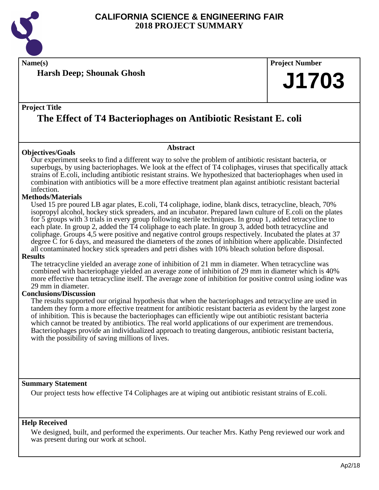

**Name(s) Project Number**

**Harsh Deep; Shounak Ghosh**

#### **Project Title**

## **The Effect of T4 Bacteriophages on Antibiotic Resistant E. coli**

#### **Objectives/Goals**

**Abstract**

Our experiment seeks to find a different way to solve the problem of antibiotic resistant bacteria, or superbugs, by using bacteriophages. We look at the effect of T4 coliphages, viruses that specifically attack strains of E.coli, including antibiotic resistant strains. We hypothesized that bacteriophages when used in combination with antibiotics will be a more effective treatment plan against antibiotic resistant bacterial infection.

#### **Methods/Materials**

Used 15 pre poured LB agar plates, E.coli, T4 coliphage, iodine, blank discs, tetracycline, bleach, 70% isopropyl alcohol, hockey stick spreaders, and an incubator. Prepared lawn culture of E.coli on the plates for 5 groups with 3 trials in every group following sterile techniques. In group 1, added tetracycline to each plate. In group 2, added the T4 coliphage to each plate. In group 3, added both tetracycline and coliphage. Groups 4,5 were positive and negative control groups respectively. Incubated the plates at 37 degree C for 6 days, and measured the diameters of the zones of inhibition where applicable. Disinfected all contaminated hockey stick spreaders and petri dishes with 10% bleach solution before disposal.

#### **Results**

The tetracycline yielded an average zone of inhibition of 21 mm in diameter. When tetracycline was combined with bacteriophage yielded an average zone of inhibition of 29 mm in diameter which is 40% more effective than tetracycline itself. The average zone of inhibition for positive control using iodine was 29 mm in diameter.

#### **Conclusions/Discussion**

The results supported our original hypothesis that when the bacteriophages and tetracycline are used in tandem they form a more effective treatment for antibiotic resistant bacteria as evident by the largest zone of inhibition. This is because the bacteriophages can efficiently wipe out antibiotic resistant bacteria which cannot be treated by antibiotics. The real world applications of our experiment are tremendous. Bacteriophages provide an individualized approach to treating dangerous, antibiotic resistant bacteria, with the possibility of saving millions of lives.

#### **Summary Statement**

Our project tests how effective T4 Coliphages are at wiping out antibiotic resistant strains of E.coli.

#### **Help Received**

We designed, built, and performed the experiments. Our teacher Mrs. Kathy Peng reviewed our work and was present during our work at school.

**J1703**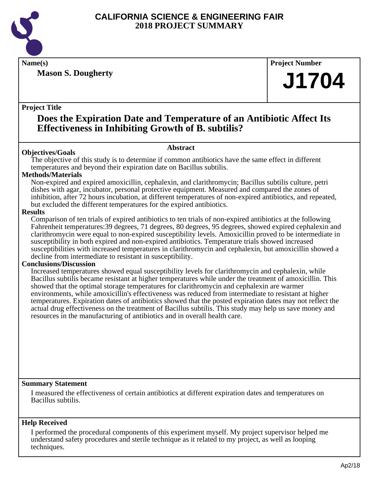

**Mason S. Dougherty**

**Name(s) Project Number**

## **J1704**

#### **Project Title**

### **Does the Expiration Date and Temperature of an Antibiotic Affect Its Effectiveness in Inhibiting Growth of B. subtilis?**

#### **Abstract**

**Objectives/Goals** The objective of this study is to determine if common antibiotics have the same effect in different temperatures and beyond their expiration date on Bacillus subtilis.

#### **Methods/Materials**

Non-expired and expired amoxicillin, cephalexin, and clarithromycin; Bacillus subtilis culture, petri dishes with agar, incubator, personal protective equipment. Measured and compared the zones of inhibition, after 72 hours incubation, at different temperatures of non-expired antibiotics, and repeated, but excluded the different temperatures for the expired antibiotics.

#### **Results**

Comparison of ten trials of expired antibiotics to ten trials of non-expired antibiotics at the following Fahrenheit temperatures:39 degrees, 71 degrees, 80 degrees, 95 degrees, showed expired cephalexin and clarithromycin were equal to non-expired susceptibility levels. Amoxicillin proved to be intermediate in susceptibility in both expired and non-expired antibiotics. Temperature trials showed increased susceptibilities with increased temperatures in clarithromycin and cephalexin, but amoxicillin showed a decline from intermediate to resistant in susceptibility.

#### **Conclusions/Discussion**

Increased temperatures showed equal susceptibility levels for clarithromycin and cephalexin, while Bacillus subtilis became resistant at higher temperatures while under the treatment of amoxicillin. This showed that the optimal storage temperatures for clarithromycin and cephalexin are warmer environments, while amoxicillin's effectiveness was reduced from intermediate to resistant at higher temperatures. Expiration dates of antibiotics showed that the posted expiration dates may not reflect the actual drug effectiveness on the treatment of Bacillus subtilis. This study may help us save money and resources in the manufacturing of antibiotics and in overall health care.

#### **Summary Statement**

I measured the effectiveness of certain antibiotics at different expiration dates and temperatures on Bacillus subtilis.

#### **Help Received**

I performed the procedural components of this experiment myself. My project supervisor helped me understand safety procedures and sterile technique as it related to my project, as well as looping techniques.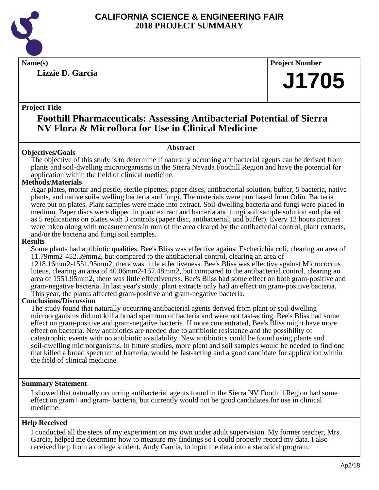

**Lizzie D. Garcia**

**Name(s) Project Number**

## **J1705**

#### **Project Title**

### **Foothill Pharmaceuticals: Assessing Antibacterial Potential of Sierra NV Flora & Microflora for Use in Clinical Medicine**

#### **Abstract**

**Objectives/Goals** The objective of this study is to determine if naturally occurring antibacterial agents can be derived from plants and soil-dwelling microorganisms in the Sierra Nevada Foothill Region and have the potential for application within the field of clinical medicine.

#### **Methods/Materials**

Agar plates, mortar and pestle, sterile pipettes, paper discs, antibacterial solution, buffer, 5 bacteria, native plants, and native soil-dwelling bacteria and fungi. The materials were purchased from Odin. Bacteria were put on plates. Plant samples were made into extract. Soil-dwelling bacteria and fungi were placed in medium. Paper discs were dipped in plant extract and bacteria and fungi soil sample solution and placed as 5 replications on plates with 3 controls (paper disc, antibacterial, and buffer). Every 12 hours pictures were taken along with measurements in mm of the area cleared by the antibacterial control, plant extracts, and/or the bacteria and fungi soil samples.

#### **Results**

Some plants had antibiotic qualities. Bee's Bliss was effective against Escherichia coli, clearing an area of 11.79mm2-452.39mm2, but compared to the antibacterial control, clearing an area of 1218.16mm2-1551.95mm2, there was little effectiveness. Bee's Bliss was effective against Micrococcus luteus, clearing an area of 40.06mm2-157.48mm2, but compared to the antibacterial control, clearing an area of 1551.95mm2, there was little effectiveness. Bee's Bliss had some effect on both gram-positive and

gram-negative bacteria. In last year's study, plant extracts only had an effect on gram-positive bacteria. This year, the plants affected gram-positive and gram-negative bacteria.

#### **Conclusions/Discussion**

The study found that naturally occurring antibacterial agents derived from plant or soil-dwelling microorganisms did not kill a broad spectrum of bacteria and were not fast-acting. Bee's Bliss had some effect on gram-positive and gram-negative bacteria. If more concentrated, Bee's Bliss might have more effect on bacteria. New antibiotics are needed due to antibiotic resistance and the possibility of catastrophic events with no antibiotic availability. New antibiotics could be found using plants and soil-dwelling microorganisms. In future studies, more plant and soil samples would be needed to find one that killed a broad spectrum of bacteria, would be fast-acting and a good candidate for application within the field of clinical medicine

#### **Summary Statement**

I showed that naturally occurring antibacterial agents found in the Sierra NV Foothill Region had some effect on gram+ and gram- bacteria, but currently would not be good candidates for use in clinical medicine.

#### **Help Received**

I conducted all the steps of my experiment on my own under adult supervision. My former teacher, Mrs. Garcia, helped me determine how to measure my findings so I could properly record my data. I also received help from a college student, Andy Garcia, to input the data into a statistical program.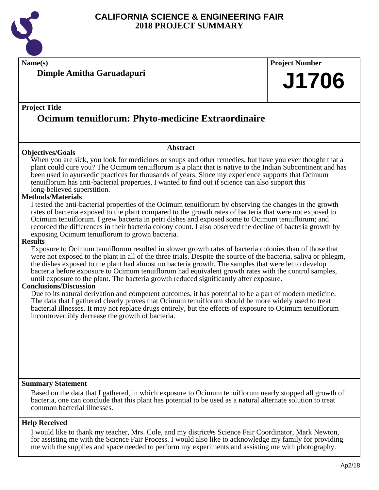

**Name(s) Project Number**

**Dimple Amitha Garuadapuri**

#### **Project Title**

## **Ocimum tenuiflorum: Phyto-medicine Extraordinaire**

#### **Objectives/Goals**

When you are sick, you look for medicines or soups and other remedies, but have you ever thought that a plant could cure you? The Ocimum tenuiflorum is a plant that is native to the Indian Subcontinent and has been used in ayurvedic practices for thousands of years. Since my experience supports that Ocimum tenuiflorum has anti-bacterial properties, I wanted to find out if science can also support this long-believed superstition.

**Abstract**

#### **Methods/Materials**

I tested the anti-bacterial properties of the Ocimum tenuiflorum by observing the changes in the growth rates of bacteria exposed to the plant compared to the growth rates of bacteria that were not exposed to Ocimum tenuiflorum. I grew bacteria in petri dishes and exposed some to Ocimum tenuiflorum; and recorded the differences in their bacteria colony count. I also observed the decline of bacteria growth by exposing Ocimum tenuiflorum to grown bacteria.

#### **Results**

Exposure to Ocimum tenuiflorum resulted in slower growth rates of bacteria colonies than of those that were not exposed to the plant in all of the three trials. Despite the source of the bacteria, saliva or phlegm, the dishes exposed to the plant had almost no bacteria growth. The samples that were let to develop bacteria before exposure to Ocimum tenuiflorum had equivalent growth rates with the control samples, until exposure to the plant. The bacteria growth reduced significantly after exposure.

#### **Conclusions/Discussion**

Due to its natural derivation and competent outcomes, it has potential to be a part of modern medicine. The data that I gathered clearly proves that Ocimum tenuiflorum should be more widely used to treat bacterial illnesses. It may not replace drugs entirely, but the effects of exposure to Ocimum tenuiflorum incontrovertibly decrease the growth of bacteria.

#### **Summary Statement**

Based on the data that I gathered, in which exposure to Ocimum tenuiflorum nearly stopped all growth of bacteria, one can conclude that this plant has potential to be used as a natural alternate solution to treat common bacterial illnesses.

#### **Help Received**

I would like to thank my teacher, Mrs. Cole, and my district#s Science Fair Coordinator, Mark Newton, for assisting me with the Science Fair Process. I would also like to acknowledge my family for providing me with the supplies and space needed to perform my experiments and assisting me with photography.

**J1706**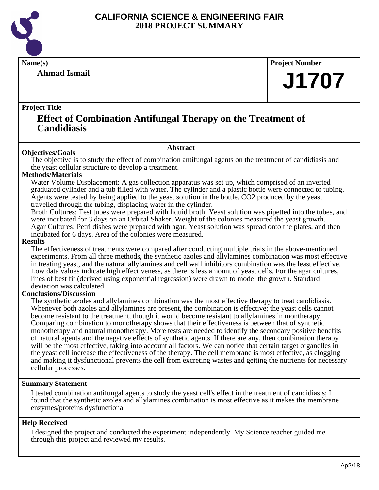

#### **Ahmad Ismail**

#### **Name(s) Project Number**

## **J1707**

#### **Project Title**

### **Effect of Combination Antifungal Therapy on the Treatment of Candidiasis**

#### **Abstract**

**Objectives/Goals** The objective is to study the effect of combination antifungal agents on the treatment of candidiasis and the yeast cellular structure to develop a treatment.

#### **Methods/Materials**

Water Volume Displacement: A gas collection apparatus was set up, which comprised of an inverted graduated cylinder and a tub filled with water. The cylinder and a plastic bottle were connected to tubing. Agents were tested by being applied to the yeast solution in the bottle. CO2 produced by the yeast travelled through the tubing, displacing water in the cylinder.

Broth Cultures: Test tubes were prepared with liquid broth. Yeast solution was pipetted into the tubes, and were incubated for 3 days on an Orbital Shaker. Weight of the colonies measured the yeast growth. Agar Cultures: Petri dishes were prepared with agar. Yeast solution was spread onto the plates, and then incubated for 6 days. Area of the colonies were measured.

#### **Results**

The effectiveness of treatments were compared after conducting multiple trials in the above-mentioned experiments. From all three methods, the synthetic azoles and allylamines combination was most effective in treating yeast, and the natural allylamines and cell wall inhibitors combination was the least effective. Low data values indicate high effectiveness, as there is less amount of yeast cells. For the agar cultures, lines of best fit (derived using exponential regression) were drawn to model the growth. Standard deviation was calculated.

#### **Conclusions/Discussion**

The synthetic azoles and allylamines combination was the most effective therapy to treat candidiasis. Whenever both azoles and allylamines are present, the combination is effective; the yeast cells cannot become resistant to the treatment, though it would become resistant to allylamines in montherapy. Comparing combination to monotherapy shows that their effectiveness is between that of synthetic monotherapy and natural monotherapy. More tests are needed to identify the secondary positive benefits of natural agents and the negative effects of synthetic agents. If there are any, then combination therapy will be the most effective, taking into account all factors. We can notice that certain target organelles in the yeast cell increase the effectiveness of the therapy. The cell membrane is most effective, as clogging and making it dysfunctional prevents the cell from excreting wastes and getting the nutrients for necessary cellular processes.

#### **Summary Statement**

I tested combination antifungal agents to study the yeast cell's effect in the treatment of candidiasis; I found that the synthetic azoles and allylamines combination is most effective as it makes the membrane enzymes/proteins dysfunctional

#### **Help Received**

I designed the project and conducted the experiment independently. My Science teacher guided me through this project and reviewed my results.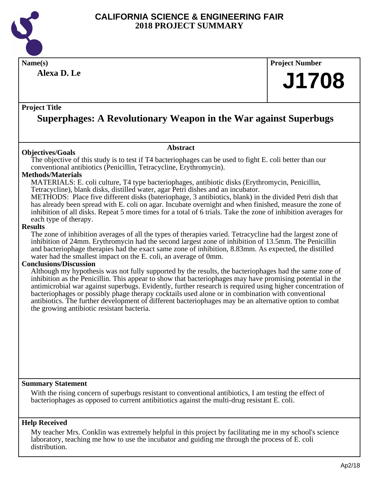

**Alexa D. Le**

## **Name(s) Project Number J1708**

#### **Project Title**

### **Superphages: A Revolutionary Weapon in the War against Superbugs**

#### **Objectives/Goals**

The objective of this study is to test if T4 bacteriophages can be used to fight E. coli better than our conventional antibiotics (Penicillin, Tetracycline, Erythromycin).

**Abstract**

#### **Methods/Materials**

MATERIALS: E. coli culture, T4 type bacteriophages, antibiotic disks (Erythromycin, Penicillin, Tetracycline), blank disks, distilled water, agar Petri dishes and an incubator.

METHODS: Place five different disks (bateriophage, 3 antibiotics, blank) in the divided Petri dish that has already been spread with E. coli on agar. Incubate overnight and when finished, measure the zone of inhibition of all disks. Repeat 5 more times for a total of 6 trials. Take the zone of inhibition averages for each type of therapy.

#### **Results**

The zone of inhibition averages of all the types of therapies varied. Tetracycline had the largest zone of inhibition of 24mm. Erythromycin had the second largest zone of inhibition of 13.5mm. The Penicillin and bacteriophage therapies had the exact same zone of inhibition, 8.83mm. As expected, the distilled water had the smallest impact on the E. coli, an average of 0mm.

#### **Conclusions/Discussion**

Although my hypothesis was not fully supported by the results, the bacteriophages had the same zone of inhibition as the Penicillin. This appear to show that bacteriophages may have promising potential in the antimicrobial war against superbugs. Evidently, further research is required using higher concentration of bacteriophages or possibly phage therapy cocktails used alone or in combination with conventional antibiotics. The further development of different bacteriophages may be an alternative option to combat the growing antibiotic resistant bacteria.

#### **Summary Statement**

With the rising concern of superbugs resistant to conventional antibiotics, I am testing the effect of bacteriophages as opposed to current antibitiotics against the multi-drug resistant E. coli.

#### **Help Received**

My teacher Mrs. Conklin was extremely helpful in this project by facilitating me in my school's science laboratory, teaching me how to use the incubator and guiding me through the process of E. coli distribution.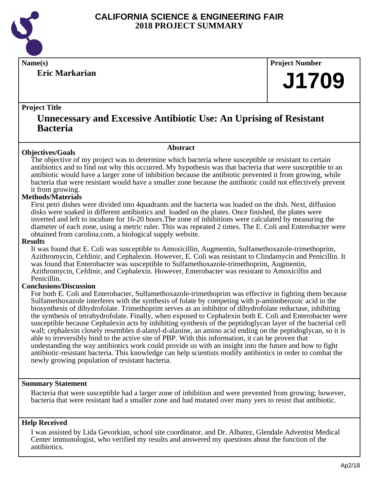

**Eric Markarian**

**Name(s) Project Number**

# **J1709**

#### **Project Title**

### **Unnecessary and Excessive Antibiotic Use: An Uprising of Resistant Bacteria**

#### **Abstract**

**Objectives/Goals** The objective of my project was to determine which bacteria where susceptible or resistant to certain antibiotics and to find out why this occurred. My hypothesis was that bacteria that were susceptible to an antibiotic would have a larger zone of inhibition because the antibiotic prevented it from growing, while bacteria that were resistant would have a smaller zone because the antibiotic could not effectively prevent it from growing.

#### **Methods/Materials**

First petri dishes were divided into 4quadrants and the bacteria was loaded on the dish. Next, diffusion disks were soaked in different antibiotics and loaded on the plates. Once finished, the plates were inverted and left to incubate for 16-20 hours.The zone of inhibitions were calculated by measuring the diameter of each zone, using a metric ruler. This was repeated 2 times. The E. Coli and Enterobacter were obtained from carolina.com, a biological supply website.

#### **Results**

It was found that E. Coli was susceptible to Amoxicillin, Augmentin, Sulfamethoxazole-trimethoprim, Azithromycin, Cefdinir, and Cephalexin. However, E. Coli was resistant to Clindamycin and Penicillin. It was found that Enterobacter was susceptible to Sulfamethoxazole-trimethoprim, Augmentin, Azithromycin, Cefdinir, and Cephalexin. However, Enterobacter was resistant to Amoxicillin and Penicillin.

#### **Conclusions/Discussion**

For both E. Coli and Enterobacter, Sulfamethoxazole-trimethoprim was effective in fighting them because Sulfamethoxazole interferes with the synthesis of folate by competing with p-aminobenzoic acid in the biosynthesis of dihydrofolate. Trimethoprim serves as an inhibitor of dihydrofolate reductase, inhibiting the synthesis of tetrahydrofolate. Finally, when exposed to Cephalexin both E. Coli and Enterobacter were susceptible because Cephalexin acts by inhibiting synthesis of the peptidoglycan layer of the bacterial cell wall; cephalexin closely resembles d-alanyl-d-alanine, an amino acid ending on the peptidoglycan, so it is able to irreversibly bind to the active site of PBP. With this information, it can be proven that undestanding the way antibiotics work could provide us with an insight into the future and how to fight antibiotic-resistant bacteria. This knowledge can help scientists modify antibiotics in order to combat the newly growing population of resistant bacteria.

#### **Summary Statement**

Bacteria that were susceptible had a larger zone of inhibition and were prevented from growing; however, bacteria that were resistant had a smaller zone and had mutated over many yers to resist that antibiotic.

#### **Help Received**

I was assisted by Lida Gevorkian, school site coordinator, and Dr. Albarez, Glendale Adventist Medical Center immunologist, who verified my results and answered my questions about the function of the antibiotics.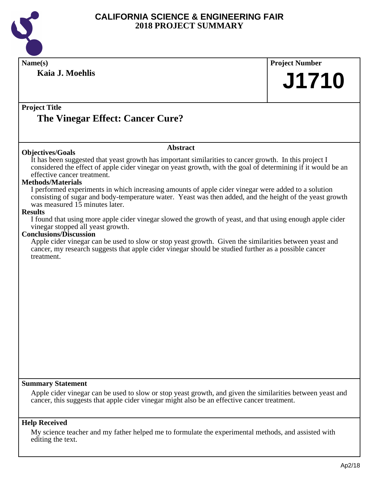

| Name(s)                                                                                                                         | <b>Project Number</b>                                                                                        |
|---------------------------------------------------------------------------------------------------------------------------------|--------------------------------------------------------------------------------------------------------------|
| Kaia J. Moehlis                                                                                                                 | J1710                                                                                                        |
|                                                                                                                                 |                                                                                                              |
| <b>Project Title</b>                                                                                                            |                                                                                                              |
| The Vinegar Effect: Cancer Cure?                                                                                                |                                                                                                              |
|                                                                                                                                 |                                                                                                              |
| <b>Abstract</b>                                                                                                                 |                                                                                                              |
| <b>Objectives/Goals</b>                                                                                                         |                                                                                                              |
| It has been suggested that yeast growth has important similarities to cancer growth. In this project I                          | considered the effect of apple cider vinegar on yeast growth, with the goal of determining if it would be an |
| effective cancer treatment.                                                                                                     |                                                                                                              |
| <b>Methods/Materials</b><br>I performed experiments in which increasing amounts of apple cider vinegar were added to a solution |                                                                                                              |
|                                                                                                                                 | consisting of sugar and body-temperature water. Yeast was then added, and the height of the yeast growth     |
| was measured 15 minutes later.                                                                                                  |                                                                                                              |
| <b>Results</b>                                                                                                                  | I found that using more apple cider vinegar slowed the growth of yeast, and that using enough apple cider    |
| vinegar stopped all yeast growth.                                                                                               |                                                                                                              |
| <b>Conclusions/Discussion</b>                                                                                                   | Apple cider vinegar can be used to slow or stop yeast growth. Given the similarities between yeast and       |
| cancer, my research suggests that apple cider vinegar should be studied further as a possible cancer                            |                                                                                                              |
| treatment.                                                                                                                      |                                                                                                              |
|                                                                                                                                 |                                                                                                              |
|                                                                                                                                 |                                                                                                              |
|                                                                                                                                 |                                                                                                              |
|                                                                                                                                 |                                                                                                              |
|                                                                                                                                 |                                                                                                              |
|                                                                                                                                 |                                                                                                              |
|                                                                                                                                 |                                                                                                              |
|                                                                                                                                 |                                                                                                              |
|                                                                                                                                 |                                                                                                              |
|                                                                                                                                 |                                                                                                              |
|                                                                                                                                 |                                                                                                              |
| <b>Summary Statement</b>                                                                                                        |                                                                                                              |
|                                                                                                                                 | Apple cider vinegar can be used to slow or stop yeast growth, and given the similarities between yeast and   |
| cancer, this suggests that apple cider vinegar might also be an effective cancer treatment.                                     |                                                                                                              |
| <b>Help Received</b>                                                                                                            |                                                                                                              |
| My science teacher and my father helped me to formulate the experimental methods, and assisted with                             |                                                                                                              |
| editing the text.                                                                                                               |                                                                                                              |